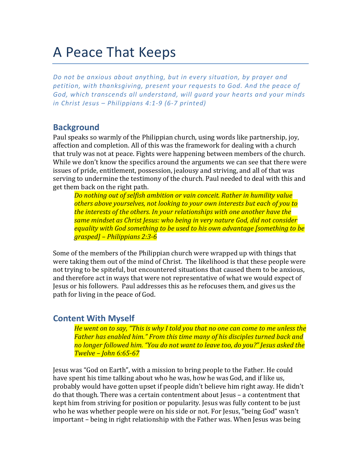# A Peace That Keeps

*Do not be anxious about anything, but in every situation, by prayer and petition, with thanksgiving, present your requests to God. And the peace of God, which transcends all understand, will guard your hearts and your minds in Christ Jesus – Philippians 4:1-9 (6-7 printed)*

## **Background**

Paul speaks so warmly of the Philippian church, using words like partnership, joy, affection and completion. All of this was the framework for dealing with a church that truly was not at peace. Fights were happening between members of the church. While we don't know the specifics around the arguments we can see that there were issues of pride, entitlement, possession, jealousy and striving, and all of that was serving to undermine the testimony of the church. Paul needed to deal with this and get them back on the right path.

*Do nothing out of selfish ambition or vain conceit. Rather in humility value others above yourselves, not looking to your own interests but each of you to the interests of the others. In your relationships with one another have the same mindset as Christ Jesus: who being in very nature God, did not consider equality with God something to be used to his own advantage [something to be grasped] – Philippians 2:3-6*

Some of the members of the Philippian church were wrapped up with things that were taking them out of the mind of Christ. The likelihood is that these people were not trying to be spiteful, but encountered situations that caused them to be anxious, and therefore act in ways that were not representative of what we would expect of Jesus or his followers. Paul addresses this as he refocuses them, and gives us the path for living in the peace of God.

#### **Content With Myself**

*He went on to say, "This is why I told you that no one can come to me unless the Father has enabled him." From this time many of his disciples turned back and no longer followed him. "You do not want to leave too, do you?" Jesus asked the Twelve – John 6:65-67*

Jesus was "God on Earth", with a mission to bring people to the Father. He could have spent his time talking about who he was, how he was God, and if like us, probably would have gotten upset if people didn't believe him right away. He didn't do that though. There was a certain contentment about Jesus – a contentment that kept him from striving for position or popularity. Jesus was fully content to be just who he was whether people were on his side or not. For Jesus, "being God" wasn't important – being in right relationship with the Father was. When Jesus was being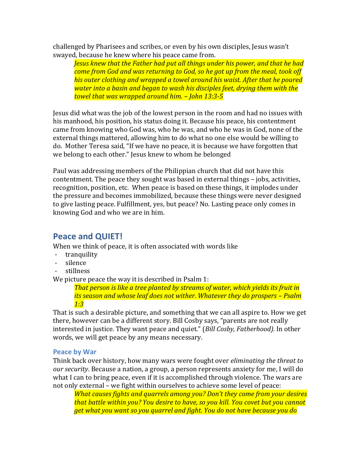challenged by Pharisees and scribes, or even by his own disciples, Jesus wasn't swayed, because he knew where his peace came from.

*Jesus knew that the Father had put all things under his power, and that he had come from God and was returning to God, so he got up from the meal, took off his outer clothing and wrapped a towel around his waist. After that he poured water into a basin and began to wash his disciples feet, drying them with the towel that was wrapped around him. – John 13:3-5*

Jesus did what was the job of the lowest person in the room and had no issues with his manhood, his position, his status doing it. Because his peace, his contentment came from knowing who God was, who he was, and who he was in God, none of the external things mattered, allowing him to do what no one else would be willing to do. Mother Teresa said, "If we have no peace, it is because we have forgotten that we belong to each other." Jesus knew to whom he belonged

Paul was addressing members of the Philippian church that did not have this contentment. The peace they sought was based in external things – jobs, activities, recognition, position, etc. When peace is based on these things, it implodes under the pressure and becomes immobilized, because these things were never designed to give lasting peace. Fulfillment, yes, but peace? No. Lasting peace only comes in knowing God and who we are in him.

# **Peace and QUIET!**

When we think of peace, it is often associated with words like

- tranquility
- silence
- stillness

We picture peace the way it is described in Psalm 1:

*That person is like a tree planted by streams of water, which yields its fruit in its season and whose leaf does not wither. Whatever they do prospers – Psalm 1:3*

That is such a desirable picture, and something that we can all aspire to. How we get there, however can be a different story. Bill Cosby says, "parents are not really interested in justice. They want peace and quiet." (*Bill Cosby, Fatherhood).* In other words, we will get peace by any means necessary.

#### **Peace by War**

Think back over history, how many wars were fought over *eliminating the threat to our security*. Because a nation, a group, a person represents anxiety for me, I will do what I can to bring peace, even if it is accomplished through violence. The wars are not only external – we fight within ourselves to achieve some level of peace:

*What causes fights and quarrels among you? Don't they come from your desires that battle within you? You desire to have, so you kill. You covet but you cannot get what you want so you quarrel and fight. You do not have because you do*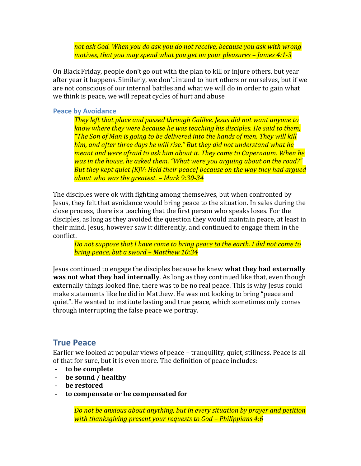*not ask God. When you do ask you do not receive, because you ask with wrong motives, that you may spend what you get on your pleasures – James 4:1-3*

On Black Friday, people don't go out with the plan to kill or injure others, but year after year it happens. Similarly, we don't intend to hurt others or ourselves, but if we are not conscious of our internal battles and what we will do in order to gain what we think is peace, we will repeat cycles of hurt and abuse

#### **Peace by Avoidance**

*They left that place and passed through Galilee. Jesus did not want anyone to know where they were because he was teaching his disciples. He said to them, "The Son of Man is going to be delivered into the hands of men. They will kill him, and after three days he will rise." But they did not understand what he meant and were afraid to ask him about it. They came to Capernaum. When he was in the house, he asked them, "What were you arguing about on the road?" But they kept quiet [KJV: Held their peace] because on the way they had argued about who was the greatest. – Mark 9:30-34*

The disciples were ok with fighting among themselves, but when confronted by Jesus, they felt that avoidance would bring peace to the situation. In sales during the close process, there is a teaching that the first person who speaks loses. For the disciples, as long as they avoided the question they would maintain peace, at least in their mind. Jesus, however saw it differently, and continued to engage them in the conflict.

*Do not suppose that I have come to bring peace to the earth. I did not come to bring peace, but a sword – Matthew 10:34*

Jesus continued to engage the disciples because he knew **what they had externally was not what they had internally**. As long as they continued like that, even though externally things looked fine, there was to be no real peace. This is why Jesus could make statements like he did in Matthew. He was not looking to bring "peace and quiet". He wanted to institute lasting and true peace, which sometimes only comes through interrupting the false peace we portray.

### **True Peace**

Earlier we looked at popular views of peace – tranquility, quiet, stillness. Peace is all of that for sure, but it is even more. The definition of peace includes:

- **to be complete**
- **be sound / healthy**
- **be restored**
- **to compensate or be compensated for**

*Do not be anxious about anything, but in every situation by prayer and petition with thanksgiving present your requests to God – Philippians 4:6*